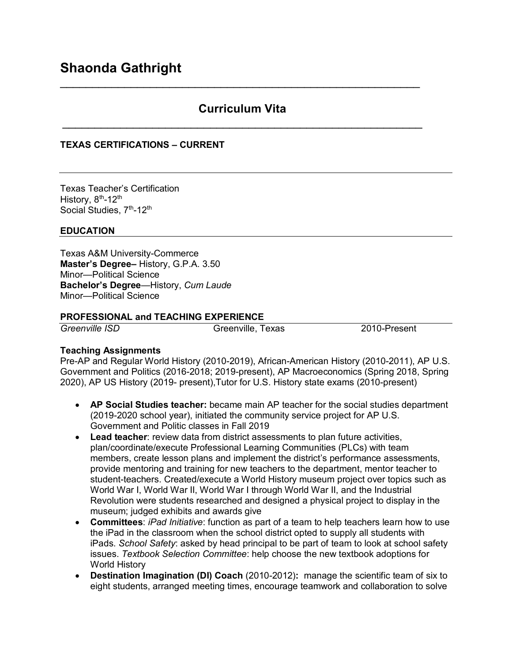# **Curriculum Vita**  \_\_\_\_\_\_\_\_\_\_\_\_\_\_\_\_\_\_\_\_\_\_\_\_\_\_\_\_\_\_\_\_\_\_\_\_\_\_\_\_\_\_\_\_\_\_\_\_\_\_\_\_\_\_\_\_

\_\_\_\_\_\_\_\_\_\_\_\_\_\_\_\_\_\_\_\_\_\_\_\_\_\_\_\_\_\_\_\_\_\_\_\_\_\_\_\_\_\_\_\_\_\_\_\_\_\_\_\_\_\_\_\_

### **TEXAS CERTIFICATIONS – CURRENT**

Texas Teacher's Certification History, 8<sup>th</sup>-12<sup>th</sup> Social Studies, 7<sup>th</sup>-12<sup>th</sup>

### **EDUCATION**

Texas A&M University-Commerce **Master's Degree–** History, G.P.A. 3.50 Minor—Political Science **Bachelor's Degree**—History, *Cum Laude* Minor—Political Science

### **PROFESSIONAL and TEACHING EXPERIENCE**

*Greenville ISD* Greenville, Texas 2010-Present

### **Teaching Assignments**

Pre-AP and Regular World History (2010-2019), African-American History (2010-2011), AP U.S. Government and Politics (2016-2018; 2019-present), AP Macroeconomics (Spring 2018, Spring 2020), AP US History (2019- present),Tutor for U.S. History state exams (2010-present)

- **AP Social Studies teacher:** became main AP teacher for the social studies department (2019-2020 school year), initiated the community service project for AP U.S. Government and Politic classes in Fall 2019
- **Lead teacher**: review data from district assessments to plan future activities, plan/coordinate/execute Professional Learning Communities (PLCs) with team members, create lesson plans and implement the district's performance assessments, provide mentoring and training for new teachers to the department, mentor teacher to student-teachers. Created/execute a World History museum project over topics such as World War I, World War II, World War I through World War II, and the Industrial Revolution were students researched and designed a physical project to display in the museum; judged exhibits and awards give
- **Committees**: *iPad Initiative*: function as part of a team to help teachers learn how to use the iPad in the classroom when the school district opted to supply all students with iPads. *School Safety*: asked by head principal to be part of team to look at school safety issues. *Textbook Selection Committee*: help choose the new textbook adoptions for World History
- **Destination Imagination (DI) Coach** (2010-2012)**:** manage the scientific team of six to eight students, arranged meeting times, encourage teamwork and collaboration to solve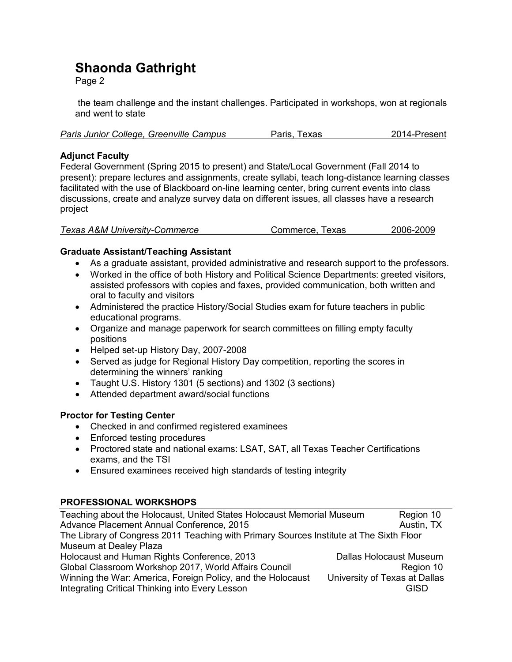# **Shaonda Gathright**

Page 2

the team challenge and the instant challenges. Participated in workshops, won at regionals and went to state

| Paris Junior College, Greenville Campus | Paris, Texas | 2014-Present |
|-----------------------------------------|--------------|--------------|
|-----------------------------------------|--------------|--------------|

# **Adjunct Faculty**

Federal Government (Spring 2015 to present) and State/Local Government (Fall 2014 to present): prepare lectures and assignments, create syllabi, teach long-distance learning classes facilitated with the use of Blackboard on-line learning center, bring current events into class discussions, create and analyze survey data on different issues, all classes have a research project

| <b>Texas A&amp;M University-Commerce</b> | Commerce, Texas | 2006-2009 |
|------------------------------------------|-----------------|-----------|
|------------------------------------------|-----------------|-----------|

### **Graduate Assistant/Teaching Assistant**

- As a graduate assistant, provided administrative and research support to the professors.
- Worked in the office of both History and Political Science Departments: greeted visitors, assisted professors with copies and faxes, provided communication, both written and oral to faculty and visitors
- Administered the practice History/Social Studies exam for future teachers in public educational programs.
- Organize and manage paperwork for search committees on filling empty faculty positions
- Helped set-up History Day, 2007-2008
- Served as judge for Regional History Day competition, reporting the scores in determining the winners' ranking
- Taught U.S. History 1301 (5 sections) and 1302 (3 sections)
- Attended department award/social functions

# **Proctor for Testing Center**

- Checked in and confirmed registered examinees
- Enforced testing procedures
- Proctored state and national exams: LSAT, SAT, all Texas Teacher Certifications exams, and the TSI
- Ensured examinees received high standards of testing integrity

# **PROFESSIONAL WORKSHOPS**

| Teaching about the Holocaust, United States Holocaust Memorial Museum                   | Region 10                      |  |  |
|-----------------------------------------------------------------------------------------|--------------------------------|--|--|
| Advance Placement Annual Conference, 2015                                               | Austin, TX                     |  |  |
| The Library of Congress 2011 Teaching with Primary Sources Institute at The Sixth Floor |                                |  |  |
| Museum at Dealey Plaza                                                                  |                                |  |  |
| Holocaust and Human Rights Conference, 2013                                             | <b>Dallas Holocaust Museum</b> |  |  |
| Global Classroom Workshop 2017, World Affairs Council                                   | Region 10                      |  |  |
| Winning the War: America, Foreign Policy, and the Holocaust                             | University of Texas at Dallas  |  |  |
| Integrating Critical Thinking into Every Lesson                                         | GISD                           |  |  |